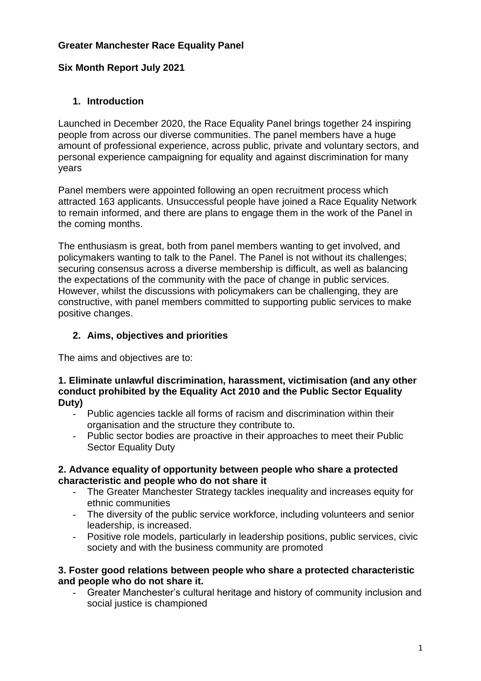# **Greater Manchester Race Equality Panel**

### **Six Month Report July 2021**

## **1. Introduction**

Launched in December 2020, the Race Equality Panel brings together 24 inspiring people from across our diverse communities. The panel members have a huge amount of professional experience, across public, private and voluntary sectors, and personal experience campaigning for equality and against discrimination for many years

Panel members were appointed following an open recruitment process which attracted 163 applicants. Unsuccessful people have joined a Race Equality Network to remain informed, and there are plans to engage them in the work of the Panel in the coming months.

The enthusiasm is great, both from panel members wanting to get involved, and policymakers wanting to talk to the Panel. The Panel is not without its challenges; securing consensus across a diverse membership is difficult, as well as balancing the expectations of the community with the pace of change in public services. However, whilst the discussions with policymakers can be challenging, they are constructive, with panel members committed to supporting public services to make positive changes.

### **2. Aims, objectives and priorities**

The aims and objectives are to:

#### **1. Eliminate unlawful discrimination, harassment, victimisation (and any other conduct prohibited by the Equality Act 2010 and the Public Sector Equality Duty)**

- Public agencies tackle all forms of racism and discrimination within their organisation and the structure they contribute to.
- Public sector bodies are proactive in their approaches to meet their Public Sector Equality Duty

#### **2. Advance equality of opportunity between people who share a protected characteristic and people who do not share it**

- The Greater Manchester Strategy tackles inequality and increases equity for ethnic communities
- The diversity of the public service workforce, including volunteers and senior leadership, is increased.
- Positive role models, particularly in leadership positions, public services, civic society and with the business community are promoted

#### **3. Foster good relations between people who share a protected characteristic and people who do not share it.**

- Greater Manchester's cultural heritage and history of community inclusion and social justice is championed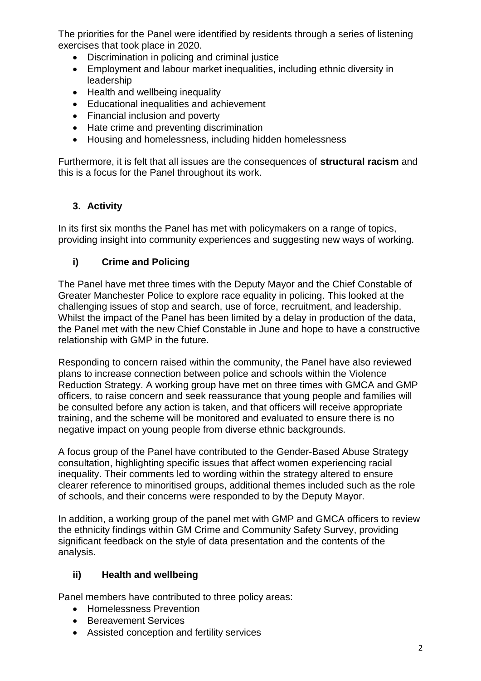The priorities for the Panel were identified by residents through a series of listening exercises that took place in 2020.

- Discrimination in policing and criminal justice
- Employment and labour market inequalities, including ethnic diversity in leadership
- Health and wellbeing inequality
- Educational inequalities and achievement
- Financial inclusion and poverty
- Hate crime and preventing discrimination
- Housing and homelessness, including hidden homelessness

Furthermore, it is felt that all issues are the consequences of **structural racism** and this is a focus for the Panel throughout its work.

# **3. Activity**

In its first six months the Panel has met with policymakers on a range of topics, providing insight into community experiences and suggesting new ways of working.

# **i) Crime and Policing**

The Panel have met three times with the Deputy Mayor and the Chief Constable of Greater Manchester Police to explore race equality in policing. This looked at the challenging issues of stop and search, use of force, recruitment, and leadership. Whilst the impact of the Panel has been limited by a delay in production of the data, the Panel met with the new Chief Constable in June and hope to have a constructive relationship with GMP in the future.

Responding to concern raised within the community, the Panel have also reviewed plans to increase connection between police and schools within the Violence Reduction Strategy. A working group have met on three times with GMCA and GMP officers, to raise concern and seek reassurance that young people and families will be consulted before any action is taken, and that officers will receive appropriate training, and the scheme will be monitored and evaluated to ensure there is no negative impact on young people from diverse ethnic backgrounds.

A focus group of the Panel have contributed to the Gender-Based Abuse Strategy consultation, highlighting specific issues that affect women experiencing racial inequality. Their comments led to wording within the strategy altered to ensure clearer reference to minoritised groups, additional themes included such as the role of schools, and their concerns were responded to by the Deputy Mayor.

In addition, a working group of the panel met with GMP and GMCA officers to review the ethnicity findings within GM Crime and Community Safety Survey, providing significant feedback on the style of data presentation and the contents of the analysis.

# **ii) Health and wellbeing**

Panel members have contributed to three policy areas:

- Homelessness Prevention
- Bereavement Services
- Assisted conception and fertility services